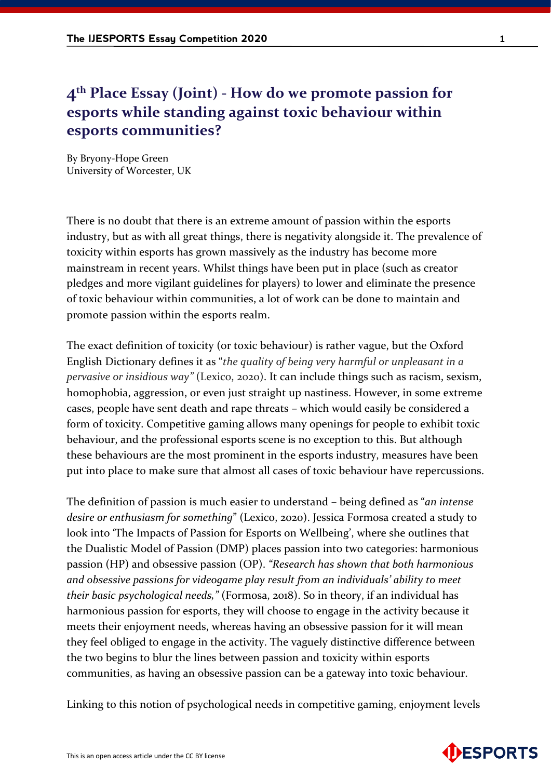## **4th Place Essay (Joint) - How do we promote passion for esports while standing against toxic behaviour within esports communities?**

By Bryony-Hope Green University of Worcester, UK

There is no doubt that there is an extreme amount of passion within the esports industry, but as with all great things, there is negativity alongside it. The prevalence of toxicity within esports has grown massively as the industry has become more mainstream in recent years. Whilst things have been put in place (such as creator pledges and more vigilant guidelines for players) to lower and eliminate the presence of toxic behaviour within communities, a lot of work can be done to maintain and promote passion within the esports realm.

The exact definition of toxicity (or toxic behaviour) is rather vague, but the Oxford English Dictionary defines it as "*the quality of being very harmful or unpleasant in a pervasive or insidious way"* (Lexico, 2020). It can include things such as racism, sexism, homophobia, aggression, or even just straight up nastiness. However, in some extreme cases, people have sent death and rape threats – which would easily be considered a form of toxicity. Competitive gaming allows many openings for people to exhibit toxic behaviour, and the professional esports scene is no exception to this. But although these behaviours are the most prominent in the esports industry, measures have been put into place to make sure that almost all cases of toxic behaviour have repercussions.

The definition of passion is much easier to understand – being defined as "*an intense desire or enthusiasm for something*" (Lexico, 2020). Jessica Formosa created a study to look into 'The Impacts of Passion for Esports on Wellbeing', where she outlines that the Dualistic Model of Passion (DMP) places passion into two categories: harmonious passion (HP) and obsessive passion (OP). *"Research has shown that both harmonious and obsessive passions for videogame play result from an individuals' ability to meet their basic psychological needs,"* (Formosa, 2018). So in theory, if an individual has harmonious passion for esports, they will choose to engage in the activity because it meets their enjoyment needs, whereas having an obsessive passion for it will mean they feel obliged to engage in the activity. The vaguely distinctive difference between the two begins to blur the lines between passion and toxicity within esports communities, as having an obsessive passion can be a gateway into toxic behaviour.

Linking to this notion of psychological needs in competitive gaming, enjoyment levels

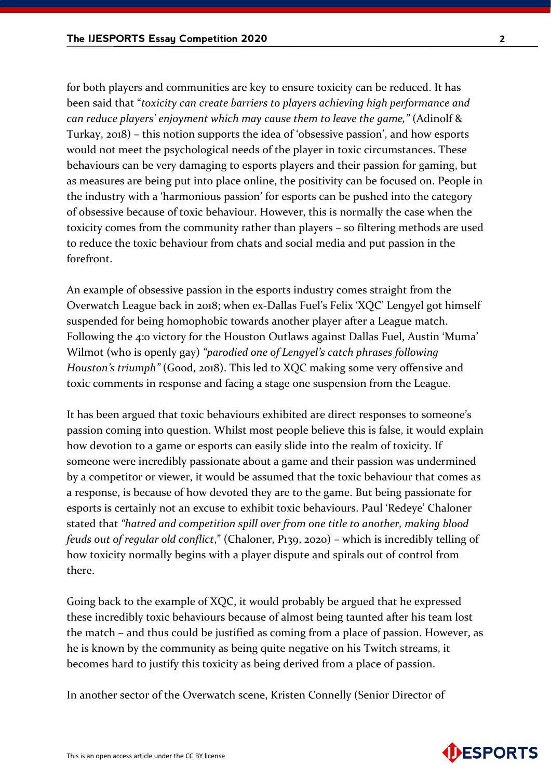for both players and communities are key to ensure toxicity can be reduced. It has been said that "*toxicity can create barriers to players achieving high performance and can reduce players' enjoyment which may cause them to leave the game,"* (Adinolf & Turkay, 2018) – this notion supports the idea of 'obsessive passion', and how esports would not meet the psychological needs of the player in toxic circumstances. These behaviours can be very damaging to esports players and their passion for gaming, but as measures are being put into place online, the positivity can be focused on. People in the industry with a 'harmonious passion' for esports can be pushed into the category of obsessive because of toxic behaviour. However, this is normally the case when the toxicity comes from the community rather than players – so filtering methods are used to reduce the toxic behaviour from chats and social media and put passion in the forefront.

An example of obsessive passion in the esports industry comes straight from the Overwatch League back in 2018; when ex-Dallas Fuel's Felix 'XQC' Lengyel got himself suspended for being homophobic towards another player after a League match. Following the 4:0 victory for the Houston Outlaws against Dallas Fuel, Austin 'Muma' Wilmot (who is openly gay) *"parodied one of Lengyel's catch phrases following Houston's triumph"* (Good, 2018). This led to XQC making some very offensive and toxic comments in response and facing a stage one suspension from the League.

It has been argued that toxic behaviours exhibited are direct responses to someone's passion coming into question. Whilst most people believe this is false, it would explain how devotion to a game or esports can easily slide into the realm of toxicity. If someone were incredibly passionate about a game and their passion was undermined by a competitor or viewer, it would be assumed that the toxic behaviour that comes as a response, is because of how devoted they are to the game. But being passionate for esports is certainly not an excuse to exhibit toxic behaviours. Paul 'Redeye' Chaloner stated that *"hatred and competition spill over from one title to another, making blood feuds out of regular old conflict*," (Chaloner, P139, 2020) – which is incredibly telling of how toxicity normally begins with a player dispute and spirals out of control from there.

Going back to the example of XQC, it would probably be argued that he expressed these incredibly toxic behaviours because of almost being taunted after his team lost the match – and thus could be justified as coming from a place of passion. However, as he is known by the community as being quite negative on his Twitch streams, it becomes hard to justify this toxicity as being derived from a place of passion.

In another sector of the Overwatch scene, Kristen Connelly (Senior Director of

**ESPORTS** 

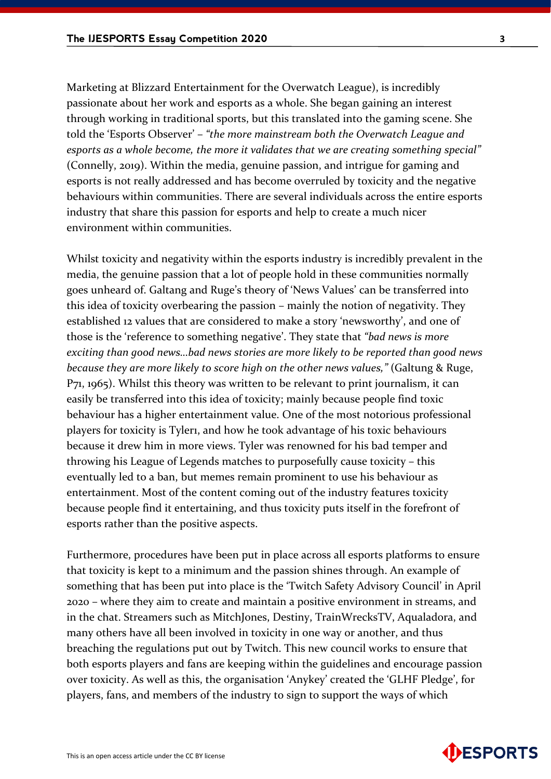Marketing at Blizzard Entertainment for the Overwatch League), is incredibly passionate about her work and esports as a whole. She began gaining an interest through working in traditional sports, but this translated into the gaming scene. She told the 'Esports Observer' – *"the more mainstream both the Overwatch League and esports as a whole become, the more it validates that we are creating something special"* (Connelly, 2019). Within the media, genuine passion, and intrigue for gaming and esports is not really addressed and has become overruled by toxicity and the negative behaviours within communities. There are several individuals across the entire esports industry that share this passion for esports and help to create a much nicer environment within communities.

Whilst toxicity and negativity within the esports industry is incredibly prevalent in the media, the genuine passion that a lot of people hold in these communities normally goes unheard of. Galtang and Ruge's theory of 'News Values' can be transferred into this idea of toxicity overbearing the passion – mainly the notion of negativity. They established 12 values that are considered to make a story 'newsworthy', and one of those is the 'reference to something negative'. They state that *"bad news is more exciting than good news…bad news stories are more likely to be reported than good news because they are more likely to score high on the other news values,"* (Galtung & Ruge, P71, 1965). Whilst this theory was written to be relevant to print journalism, it can easily be transferred into this idea of toxicity; mainly because people find toxic behaviour has a higher entertainment value. One of the most notorious professional players for toxicity is Tyler1, and how he took advantage of his toxic behaviours because it drew him in more views. Tyler was renowned for his bad temper and throwing his League of Legends matches to purposefully cause toxicity – this eventually led to a ban, but memes remain prominent to use his behaviour as entertainment. Most of the content coming out of the industry features toxicity because people find it entertaining, and thus toxicity puts itself in the forefront of esports rather than the positive aspects.

Furthermore, procedures have been put in place across all esports platforms to ensure that toxicity is kept to a minimum and the passion shines through. An example of something that has been put into place is the 'Twitch Safety Advisory Council' in April 2020 – where they aim to create and maintain a positive environment in streams, and in the chat. Streamers such as MitchJones, Destiny, TrainWrecksTV, Aqualadora, and many others have all been involved in toxicity in one way or another, and thus breaching the regulations put out by Twitch. This new council works to ensure that both esports players and fans are keeping within the guidelines and encourage passion over toxicity. As well as this, the organisation 'Anykey' created the 'GLHF Pledge', for players, fans, and members of the industry to sign to support the ways of which

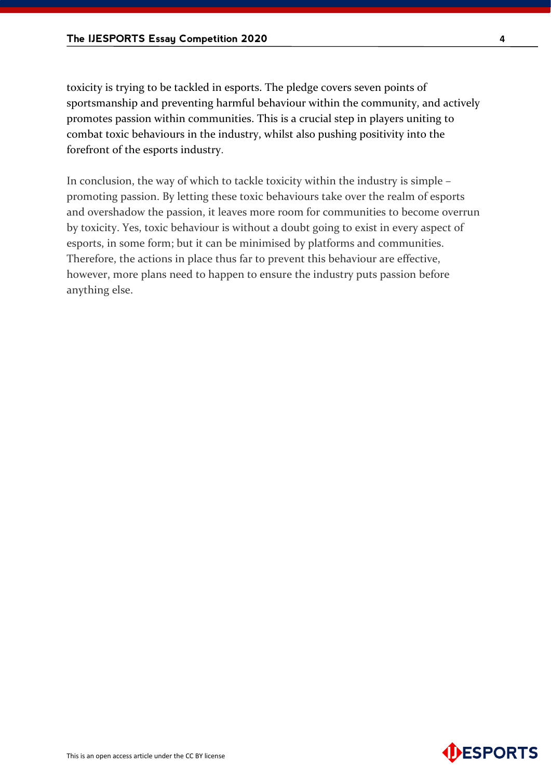toxicity is trying to be tackled in esports. The pledge covers seven points of sportsmanship and preventing harmful behaviour within the community, and actively promotes passion within communities. This is a crucial step in players uniting to combat toxic behaviours in the industry, whilst also pushing positivity into the forefront of the esports industry.

In conclusion, the way of which to tackle toxicity within the industry is simple – promoting passion. By letting these toxic behaviours take over the realm of esports and overshadow the passion, it leaves more room for communities to become overrun by toxicity. Yes, toxic behaviour is without a doubt going to exist in every aspect of esports, in some form; but it can be minimised by platforms and communities. Therefore, the actions in place thus far to prevent this behaviour are effective, however, more plans need to happen to ensure the industry puts passion before anything else.